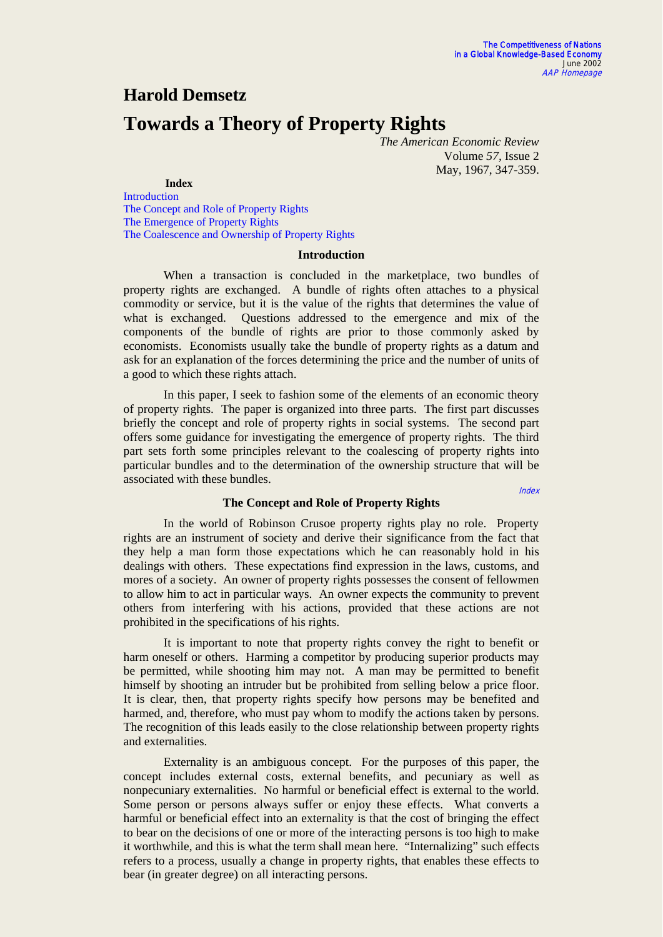# **Harold Demsetz**

# **Towards a Theory of Property Rights**

*The American Economic Review*  Volume *57,* Issue 2 May, 1967, 347-359.

**Index**

Introduction The Concept and Role of Property Rights The Emergence of Property Rights The Coalescence and Ownership of Property Rights

#### **Introduction**

When a transaction is concluded in the marketplace, two bundles of property rights are exchanged. A bundle of rights often attaches to a physical commodity or service, but it is the value of the rights that determines the value of what is exchanged. Questions addressed to the emergence and mix of the components of the bundle of rights are prior to those commonly asked by economists. Economists usually take the bundle of property rights as a datum and ask for an explanation of the forces determining the price and the number of units of a good to which these rights attach.

In this paper, I seek to fashion some of the elements of an economic theory of property rights. The paper is organized into three parts. The first part discusses briefly the concept and role of property rights in social systems. The second part offers some guidance for investigating the emergence of property rights. The third part sets forth some principles relevant to the coalescing of property rights into particular bundles and to the determination of the ownership structure that will be associated with these bundles.

### **The Concept and Role of Property Rights**

Index

In the world of Robinson Crusoe property rights play no role. Property rights are an instrument of society and derive their significance from the fact that they help a man form those expectations which he can reasonably hold in his dealings with others. These expectations find expression in the laws, customs, and mores of a society. An owner of property rights possesses the consent of fellowmen to allow him to act in particular ways. An owner expects the community to prevent others from interfering with his actions, provided that these actions are not prohibited in the specifications of his rights.

It is important to note that property rights convey the right to benefit or harm oneself or others. Harming a competitor by producing superior products may be permitted, while shooting him may not. A man may be permitted to benefit himself by shooting an intruder but be prohibited from selling below a price floor. It is clear, then, that property rights specify how persons may be benefited and harmed, and, therefore, who must pay whom to modify the actions taken by persons. The recognition of this leads easily to the close relationship between property rights and externalities.

Externality is an ambiguous concept. For the purposes of this paper, the concept includes external costs, external benefits, and pecuniary as well as nonpecuniary externalities. No harmful or beneficial effect is external to the world. Some person or persons always suffer or enjoy these effects. What converts a harmful or beneficial effect into an externality is that the cost of bringing the effect to bear on the decisions of one or more of the interacting persons is too high to make it worthwhile, and this is what the term shall mean here. "Internalizing" such effects refers to a process, usually a change in property rights, that enables these effects to bear (in greater degree) on all interacting persons.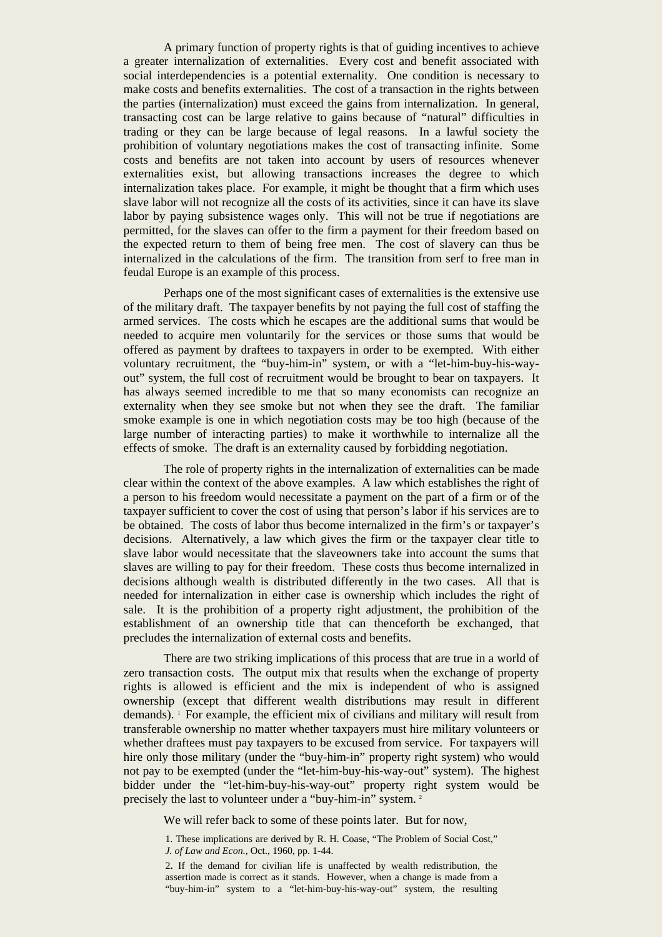A primary function of property rights is that of guiding incentives to achieve a greater internalization of externalities. Every cost and benefit associated with social interdependencies is a potential externality. One condition is necessary to make costs and benefits externalities. The cost of a transaction in the rights between the parties (internalization) must exceed the gains from internalization. In general, transacting cost can be large relative to gains because of "natural" difficulties in trading or they can be large because of legal reasons. In a lawful society the prohibition of voluntary negotiations makes the cost of transacting infinite. Some costs and benefits are not taken into account by users of resources whenever externalities exist, but allowing transactions increases the degree to which internalization takes place. For example, it might be thought that a firm which uses slave labor will not recognize all the costs of its activities, since it can have its slave labor by paying subsistence wages only. This will not be true if negotiations are permitted, for the slaves can offer to the firm a payment for their freedom based on the expected return to them of being free men. The cost of slavery can thus be internalized in the calculations of the firm. The transition from serf to free man in feudal Europe is an example of this process.

Perhaps one of the most significant cases of externalities is the extensive use of the military draft. The taxpayer benefits by not paying the full cost of staffing the armed services. The costs which he escapes are the additional sums that would be needed to acquire men voluntarily for the services or those sums that would be offered as payment by draftees to taxpayers in order to be exempted. With either voluntary recruitment, the "buy-him-in" system, or with a "let-him-buy-his-wayout" system, the full cost of recruitment would be brought to bear on taxpayers. It has always seemed incredible to me that so many economists can recognize an externality when they see smoke but not when they see the draft. The familiar smoke example is one in which negotiation costs may be too high (because of the large number of interacting parties) to make it worthwhile to internalize all the effects of smoke. The draft is an externality caused by forbidding negotiation.

The role of property rights in the internalization of externalities can be made clear within the context of the above examples. A law which establishes the right of a person to his freedom would necessitate a payment on the part of a firm or of the taxpayer sufficient to cover the cost of using that person's labor if his services are to be obtained. The costs of labor thus become internalized in the firm's or taxpayer's decisions. Alternatively, a law which gives the firm or the taxpayer clear title to slave labor would necessitate that the slaveowners take into account the sums that slaves are willing to pay for their freedom. These costs thus become internalized in decisions although wealth is distributed differently in the two cases. All that is needed for internalization in either case is ownership which includes the right of sale. It is the prohibition of a property right adjustment, the prohibition of the establishment of an ownership title that can thenceforth be exchanged, that precludes the internalization of external costs and benefits.

There are two striking implications of this process that are true in a world of zero transaction costs. The output mix that results when the exchange of property rights is allowed is efficient and the mix is independent of who is assigned ownership (except that different wealth distributions may result in different demands).  $\pm$  For example, the efficient mix of civilians and military will result from transferable ownership no matter whether taxpayers must hire military volunteers or whether draftees must pay taxpayers to be excused from service. For taxpayers will hire only those military (under the "buy-him-in" property right system) who would not pay to be exempted (under the "let-him-buy-his-way-out" system). The highest bidder under the "let-him-buy-his-way-out" property right system would be precisely the last to volunteer under a "buy-him-in" system. 2

We will refer back to some of these points later. But for now,

1. These implications are derived by R. H. Coase, "The Problem of Social Cost," *J. of Law and Econ.,* Oct., 1960, pp. 1-44.

2**.** If the demand for civilian life is unaffected by wealth redistribution, the assertion made is correct as it stands. However, when a change is made from a "buy-him-in" system to a "let-him-buy-his-way-out" system, the resulting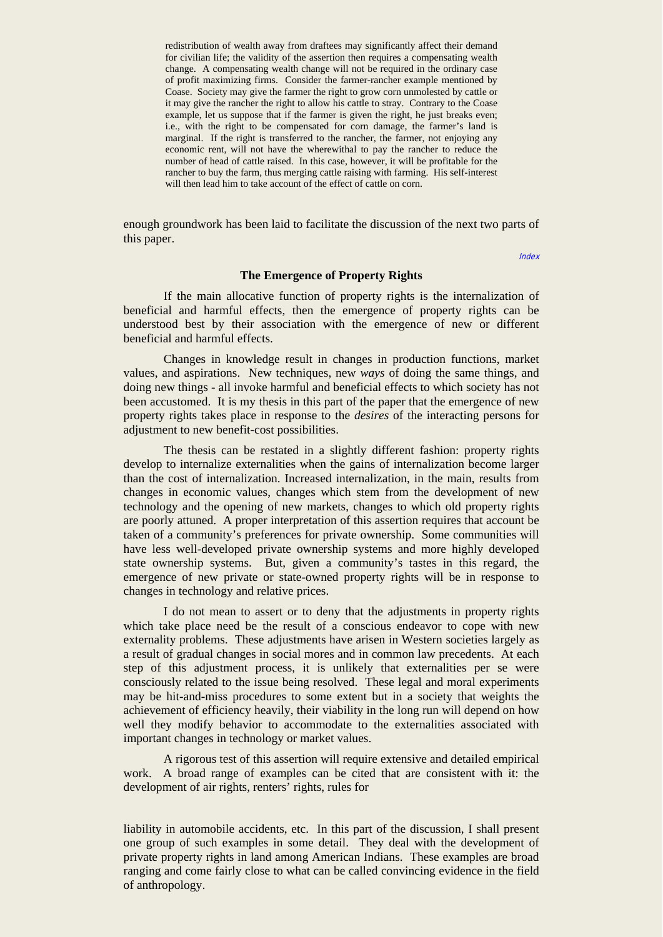redistribution of wealth away from draftees may significantly affect their demand for civilian life; the validity of the assertion then requires a compensating wealth change. A compensating wealth change will not be required in the ordinary case of profit maximizing firms. Consider the farmer-rancher example mentioned by Coase. Society may give the farmer the right to grow corn unmolested by cattle or it may give the rancher the right to allow his cattle to stray. Contrary to the Coase example, let us suppose that if the farmer is given the right, he just breaks even; i.e., with the right to be compensated for corn damage, the farmer's land is marginal. If the right is transferred to the rancher, the farmer, not enjoying any economic rent, will not have the wherewithal to pay the rancher to reduce the number of head of cattle raised. In this case, however, it will be profitable for the rancher to buy the farm, thus merging cattle raising with farming. His self-interest will then lead him to take account of the effect of cattle on corn.

enough groundwork has been laid to facilitate the discussion of the next two parts of this paper.

Index

#### **The Emergence of Property Rights**

If the main allocative function of property rights is the internalization of beneficial and harmful effects, then the emergence of property rights can be understood best by their association with the emergence of new or different beneficial and harmful effects.

Changes in knowledge result in changes in production functions, market values, and aspirations. New techniques, new *ways* of doing the same things, and doing new things - all invoke harmful and beneficial effects to which society has not been accustomed. It is my thesis in this part of the paper that the emergence of new property rights takes place in response to the *desires* of the interacting persons for adjustment to new benefit-cost possibilities.

The thesis can be restated in a slightly different fashion: property rights develop to internalize externalities when the gains of internalization become larger than the cost of internalization. Increased internalization, in the main, results from changes in economic values, changes which stem from the development of new technology and the opening of new markets, changes to which old property rights are poorly attuned. A proper interpretation of this assertion requires that account be taken of a community's preferences for private ownership. Some communities will have less well-developed private ownership systems and more highly developed state ownership systems. But, given a community's tastes in this regard, the emergence of new private or state-owned property rights will be in response to changes in technology and relative prices.

I do not mean to assert or to deny that the adjustments in property rights which take place need be the result of a conscious endeavor to cope with new externality problems. These adjustments have arisen in Western societies largely as a result of gradual changes in social mores and in common law precedents. At each step of this adjustment process, it is unlikely that externalities per se were consciously related to the issue being resolved. These legal and moral experiments may be hit-and-miss procedures to some extent but in a society that weights the achievement of efficiency heavily, their viability in the long run will depend on how well they modify behavior to accommodate to the externalities associated with important changes in technology or market values.

A rigorous test of this assertion will require extensive and detailed empirical work. A broad range of examples can be cited that are consistent with it: the development of air rights, renters' rights, rules for

liability in automobile accidents, etc. In this part of the discussion, I shall present one group of such examples in some detail. They deal with the development of private property rights in land among American Indians. These examples are broad ranging and come fairly close to what can be called convincing evidence in the field of anthropology.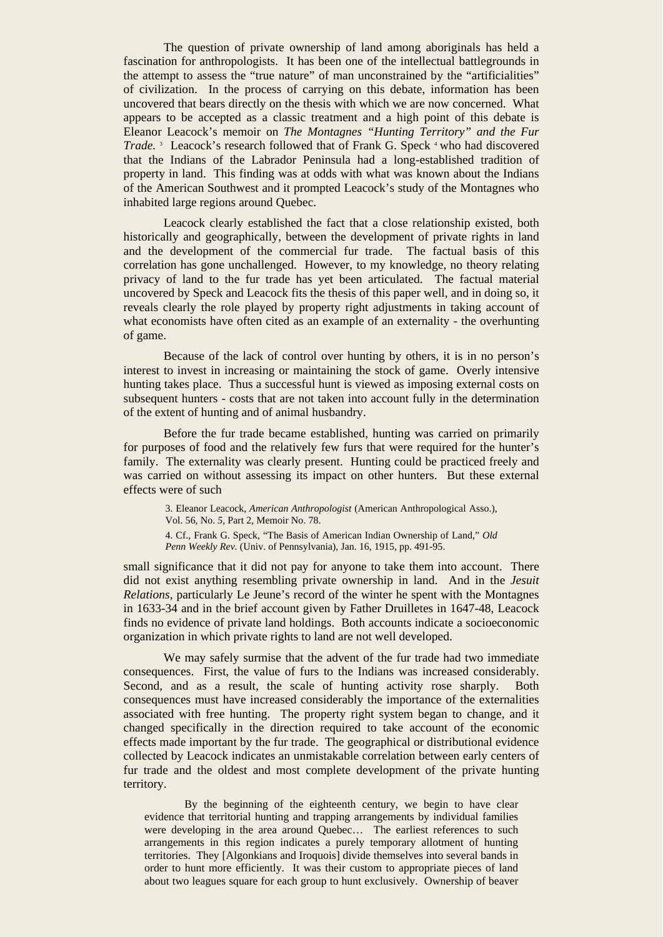The question of private ownership of land among aboriginals has held a fascination for anthropologists. It has been one of the intellectual battlegrounds in the attempt to assess the "true nature" of man unconstrained by the "artificialities" of civilization. In the process of carrying on this debate, information has been uncovered that bears directly on the thesis with which we are now concerned. What appears to be accepted as a classic treatment and a high point of this debate is Eleanor Leacock's memoir on *The Montagnes "Hunting Territory" and the Fur Trade.* <sup>3</sup> Leacock's research followed that of Frank G. Speck <sup>4</sup> who had discovered that the Indians of the Labrador Peninsula had a long-established tradition of property in land. This finding was at odds with what was known about the Indians of the American Southwest and it prompted Leacock's study of the Montagnes who inhabited large regions around Quebec.

Leacock clearly established the fact that a close relationship existed, both historically and geographically, between the development of private rights in land and the development of the commercial fur trade. The factual basis of this correlation has gone unchallenged. However, to my knowledge, no theory relating privacy of land to the fur trade has yet been articulated. The factual material uncovered by Speck and Leacock fits the thesis of this paper well, and in doing so, it reveals clearly the role played by property right adjustments in taking account of what economists have often cited as an example of an externality - the overhunting of game.

Because of the lack of control over hunting by others, it is in no person's interest to invest in increasing or maintaining the stock of game. Overly intensive hunting takes place. Thus a successful hunt is viewed as imposing external costs on subsequent hunters - costs that are not taken into account fully in the determination of the extent of hunting and of animal husbandry.

Before the fur trade became established, hunting was carried on primarily for purposes of food and the relatively few furs that were required for the hunter's family. The externality was clearly present. Hunting could be practiced freely and was carried on without assessing its impact on other hunters. But these external effects were of such

> 3. Eleanor Leacock, *American Anthropologist* (American Anthropological Asso.), Vol. 56*,* No. *5,* Part 2, Memoir No. 78.

> 4. Cf., Frank G. Speck, "The Basis of American Indian Ownership of Land," *Old Penn Weekly Rev.* (Univ. of Pennsylvania), Jan. 16, 1915, pp. 491-95.

small significance that it did not pay for anyone to take them into account. There did not exist anything resembling private ownership in land. And in the *Jesuit Relations,* particularly Le Jeune's record of the winter he spent with the Montagnes in 1633-34 and in the brief account given by Father Druilletes in 1647-48, Leacock finds no evidence of private land holdings. Both accounts indicate a socioeconomic organization in which private rights to land are not well developed.

We may safely surmise that the advent of the fur trade had two immediate consequences. First, the value of furs to the Indians was increased considerably. Second, and as a result, the scale of hunting activity rose sharply. Both consequences must have increased considerably the importance of the externalities associated with free hunting. The property right system began to change, and it changed specifically in the direction required to take account of the economic effects made important by the fur trade. The geographical or distributional evidence collected by Leacock indicates an unmistakable correlation between early centers of fur trade and the oldest and most complete development of the private hunting territory.

By the beginning of the eighteenth century, we begin to have clear evidence that territorial hunting and trapping arrangements by individual families were developing in the area around Quebec… The earliest references to such arrangements in this region indicates a purely temporary allotment of hunting territories. They [Algonkians and Iroquois] divide themselves into several bands in order to hunt more efficiently. It was their custom to appropriate pieces of land about two leagues square for each group to hunt exclusively. Ownership of beaver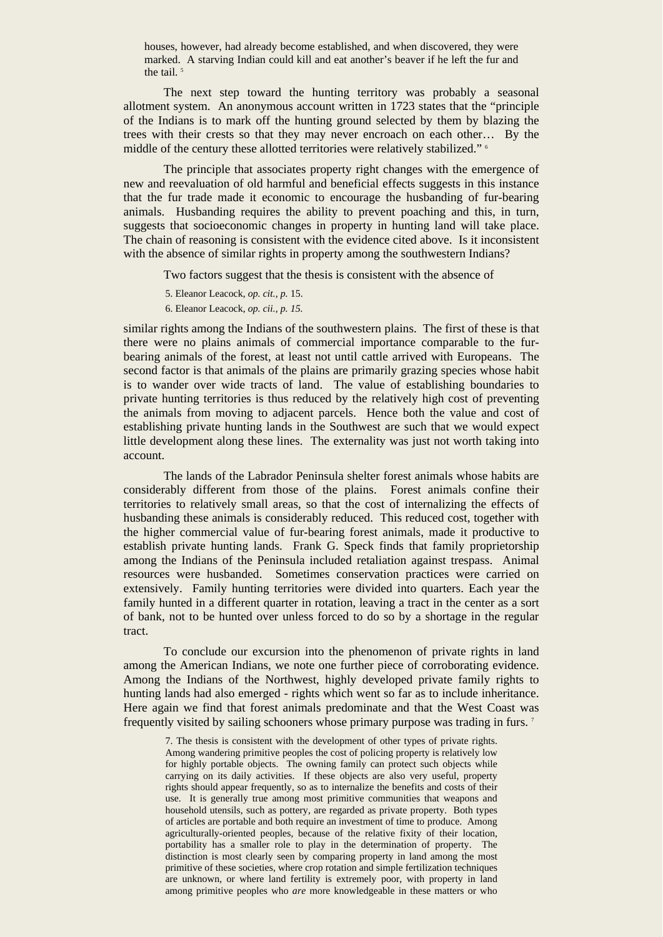houses, however, had already become established, and when discovered, they were marked. A starving Indian could kill and eat another's beaver if he left the fur and the tail.<sup>5</sup>

The next step toward the hunting territory was probably a seasonal allotment system. An anonymous account written in 1723 states that the "principle of the Indians is to mark off the hunting ground selected by them by blazing the trees with their crests so that they may never encroach on each other… By the middle of the century these allotted territories were relatively stabilized." 6

The principle that associates property right changes with the emergence of new and reevaluation of old harmful and beneficial effects suggests in this instance that the fur trade made it economic to encourage the husbanding of fur-bearing animals. Husbanding requires the ability to prevent poaching and this, in turn, suggests that socioeconomic changes in property in hunting land will take place. The chain of reasoning is consistent with the evidence cited above. Is it inconsistent with the absence of similar rights in property among the southwestern Indians?

Two factors suggest that the thesis is consistent with the absence of

5. Eleanor Leacock, *op. cit., p.* 15.

6. Eleanor Leacock, *op. cii., p. 15.* 

similar rights among the Indians of the southwestern plains. The first of these is that there were no plains animals of commercial importance comparable to the furbearing animals of the forest, at least not until cattle arrived with Europeans. The second factor is that animals of the plains are primarily grazing species whose habit is to wander over wide tracts of land. The value of establishing boundaries to private hunting territories is thus reduced by the relatively high cost of preventing the animals from moving to adjacent parcels. Hence both the value and cost of establishing private hunting lands in the Southwest are such that we would expect little development along these lines. The externality was just not worth taking into account.

The lands of the Labrador Peninsula shelter forest animals whose habits are considerably different from those of the plains. Forest animals confine their territories to relatively small areas, so that the cost of internalizing the effects of husbanding these animals is considerably reduced. This reduced cost, together with the higher commercial value of fur-bearing forest animals, made it productive to establish private hunting lands. Frank G. Speck finds that family proprietorship among the Indians of the Peninsula included retaliation against trespass. Animal resources were husbanded. Sometimes conservation practices were carried on extensively. Family hunting territories were divided into quarters. Each year the family hunted in a different quarter in rotation, leaving a tract in the center as a sort of bank, not to be hunted over unless forced to do so by a shortage in the regular tract.

To conclude our excursion into the phenomenon of private rights in land among the American Indians, we note one further piece of corroborating evidence. Among the Indians of the Northwest, highly developed private family rights to hunting lands had also emerged - rights which went so far as to include inheritance. Here again we find that forest animals predominate and that the West Coast was frequently visited by sailing schooners whose primary purpose was trading in furs. 7

7. The thesis is consistent with the development of other types of private rights. Among wandering primitive peoples the cost of policing property is relatively low for highly portable objects. The owning family can protect such objects while carrying on its daily activities. If these objects are also very useful, property rights should appear frequently, so as to internalize the benefits and costs of their use. It is generally true among most primitive communities that weapons and household utensils, such as pottery, are regarded as private property. Both types of articles are portable and both require an investment of time to produce. Among agriculturally-oriented peoples, because of the relative fixity of their location, portability has a smaller role to play in the determination of property. The distinction is most clearly seen by comparing property in land among the most primitive of these societies, where crop rotation and simple fertilization techniques are unknown, or where land fertility is extremely poor, with property in land among primitive peoples who *are* more knowledgeable in these matters or who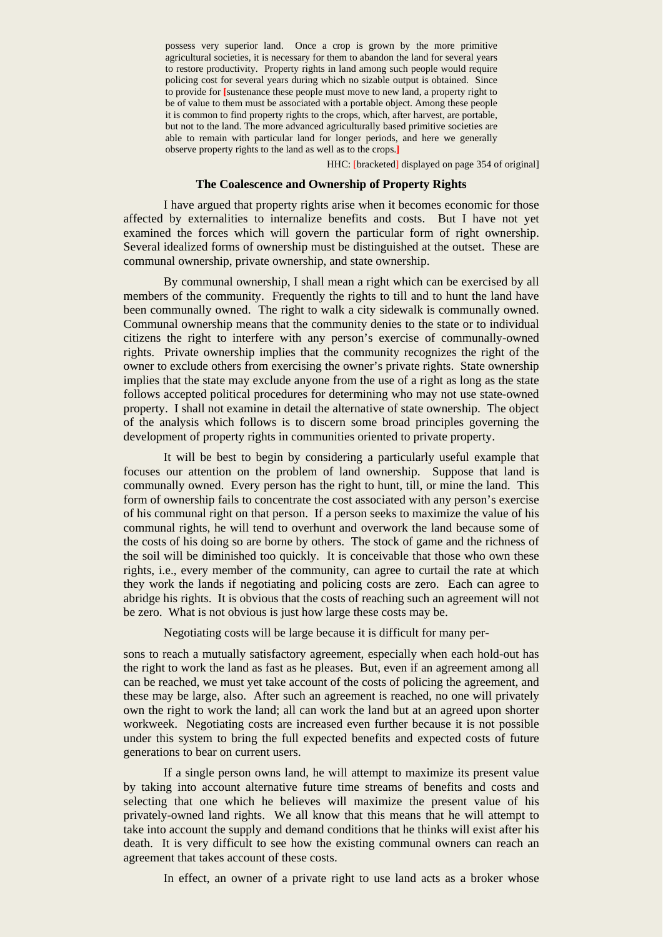possess very superior land. Once a crop is grown by the more primitive agricultural societies, it is necessary for them to abandon the land for several years to restore productivity. Property rights in land among such people would require policing cost for several years during which no sizable output is obtained. Since to provide for **[**sustenance these people must move to new land, a property right to be of value to them must be associated with a portable object. Among these people it is common to find property rights to the crops, which, after harvest, are portable, but not to the land. The more advanced agriculturally based primitive societies are able to remain with particular land for longer periods, and here we generally observe property rights to the land as well as to the crops.**]**

HHC: [bracketed] displayed on page 354 of original]

## **The Coalescence and Ownership of Property Rights**

I have argued that property rights arise when it becomes economic for those affected by externalities to internalize benefits and costs. But I have not yet examined the forces which will govern the particular form of right ownership. Several idealized forms of ownership must be distinguished at the outset. These are communal ownership, private ownership, and state ownership.

By communal ownership, I shall mean a right which can be exercised by all members of the community. Frequently the rights to till and to hunt the land have been communally owned. The right to walk a city sidewalk is communally owned. Communal ownership means that the community denies to the state or to individual citizens the right to interfere with any person's exercise of communally-owned rights. Private ownership implies that the community recognizes the right of the owner to exclude others from exercising the owner's private rights. State ownership implies that the state may exclude anyone from the use of a right as long as the state follows accepted political procedures for determining who may not use state-owned property. I shall not examine in detail the alternative of state ownership. The object of the analysis which follows is to discern some broad principles governing the development of property rights in communities oriented to private property.

It will be best to begin by considering a particularly useful example that focuses our attention on the problem of land ownership. Suppose that land is communally owned. Every person has the right to hunt, till, or mine the land. This form of ownership fails to concentrate the cost associated with any person's exercise of his communal right on that person. If a person seeks to maximize the value of his communal rights, he will tend to overhunt and overwork the land because some of the costs of his doing so are borne by others. The stock of game and the richness of the soil will be diminished too quickly. It is conceivable that those who own these rights, i.e., every member of the community, can agree to curtail the rate at which they work the lands if negotiating and policing costs are zero. Each can agree to abridge his rights. It is obvious that the costs of reaching such an agreement will not be zero. What is not obvious is just how large these costs may be.

Negotiating costs will be large because it is difficult for many per-

sons to reach a mutually satisfactory agreement, especially when each hold-out has the right to work the land as fast as he pleases. But, even if an agreement among all can be reached, we must yet take account of the costs of policing the agreement, and these may be large, also. After such an agreement is reached, no one will privately own the right to work the land; all can work the land but at an agreed upon shorter workweek. Negotiating costs are increased even further because it is not possible under this system to bring the full expected benefits and expected costs of future generations to bear on current users.

If a single person owns land, he will attempt to maximize its present value by taking into account alternative future time streams of benefits and costs and selecting that one which he believes will maximize the present value of his privately-owned land rights. We all know that this means that he will attempt to take into account the supply and demand conditions that he thinks will exist after his death. It is very difficult to see how the existing communal owners can reach an agreement that takes account of these costs.

In effect, an owner of a private right to use land acts as a broker whose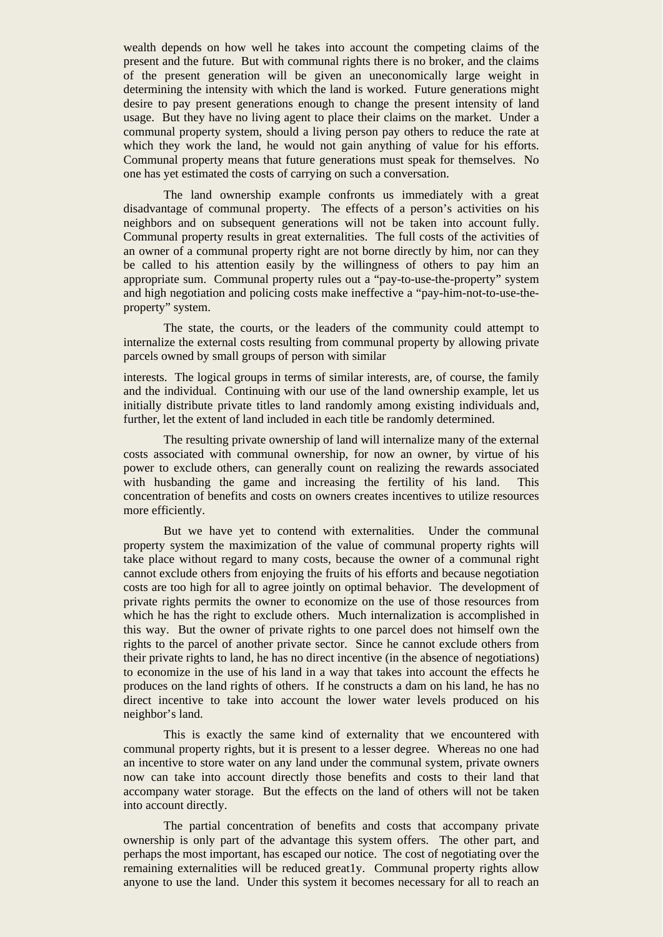wealth depends on how well he takes into account the competing claims of the present and the future. But with communal rights there is no broker, and the claims of the present generation will be given an uneconomically large weight in determining the intensity with which the land is worked. Future generations might desire to pay present generations enough to change the present intensity of land usage. But they have no living agent to place their claims on the market. Under a communal property system, should a living person pay others to reduce the rate at which they work the land, he would not gain anything of value for his efforts. Communal property means that future generations must speak for themselves. No one has yet estimated the costs of carrying on such a conversation.

The land ownership example confronts us immediately with a great disadvantage of communal property. The effects of a person's activities on his neighbors and on subsequent generations will not be taken into account fully. Communal property results in great externalities. The full costs of the activities of an owner of a communal property right are not borne directly by him, nor can they be called to his attention easily by the willingness of others to pay him an appropriate sum. Communal property rules out a "pay-to-use-the-property" system and high negotiation and policing costs make ineffective a "pay-him-not-to-use-theproperty" system.

The state, the courts, or the leaders of the community could attempt to internalize the external costs resulting from communal property by allowing private parcels owned by small groups of person with similar

interests. The logical groups in terms of similar interests, are, of course, the family and the individual. Continuing with our use of the land ownership example, let us initially distribute private titles to land randomly among existing individuals and, further, let the extent of land included in each title be randomly determined.

The resulting private ownership of land will internalize many of the external costs associated with communal ownership, for now an owner, by virtue of his power to exclude others, can generally count on realizing the rewards associated with husbanding the game and increasing the fertility of his land. This concentration of benefits and costs on owners creates incentives to utilize resources more efficiently.

But we have yet to contend with externalities. Under the communal property system the maximization of the value of communal property rights will take place without regard to many costs, because the owner of a communal right cannot exclude others from enjoying the fruits of his efforts and because negotiation costs are too high for all to agree jointly on optimal behavior. The development of private rights permits the owner to economize on the use of those resources from which he has the right to exclude others. Much internalization is accomplished in this way. But the owner of private rights to one parcel does not himself own the rights to the parcel of another private sector. Since he cannot exclude others from their private rights to land, he has no direct incentive (in the absence of negotiations) to economize in the use of his land in a way that takes into account the effects he produces on the land rights of others. If he constructs a dam on his land, he has no direct incentive to take into account the lower water levels produced on his neighbor's land.

This is exactly the same kind of externality that we encountered with communal property rights, but it is present to a lesser degree. Whereas no one had an incentive to store water on any land under the communal system, private owners now can take into account directly those benefits and costs to their land that accompany water storage. But the effects on the land of others will not be taken into account directly.

The partial concentration of benefits and costs that accompany private ownership is only part of the advantage this system offers. The other part, and perhaps the most important, has escaped our notice. The cost of negotiating over the remaining externalities will be reduced great1y. Communal property rights allow anyone to use the land. Under this system it becomes necessary for all to reach an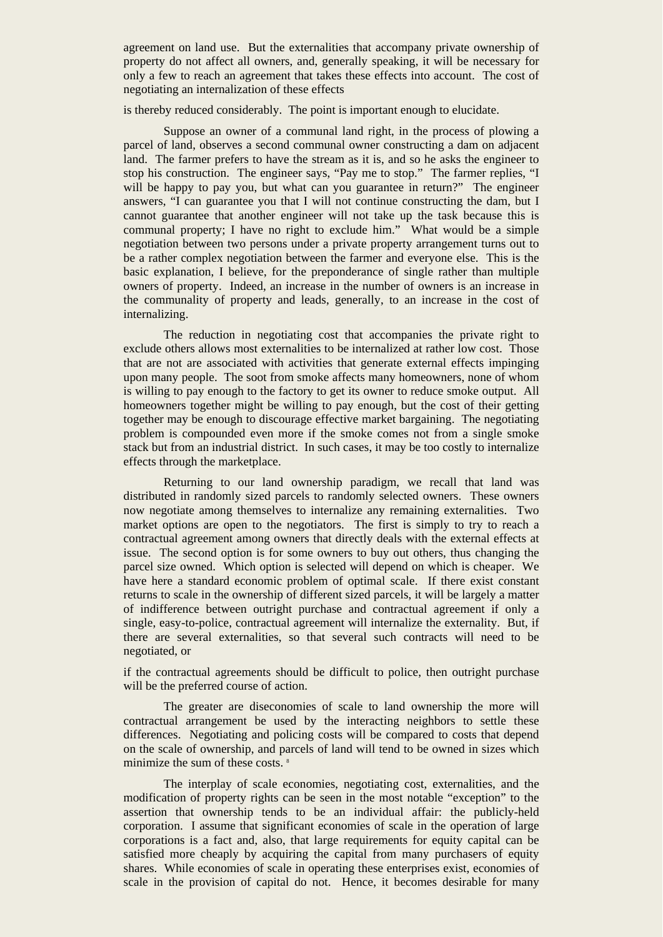agreement on land use. But the externalities that accompany private ownership of property do not affect all owners, and, generally speaking, it will be necessary for only a few to reach an agreement that takes these effects into account. The cost of negotiating an internalization of these effects

is thereby reduced considerably. The point is important enough to elucidate.

Suppose an owner of a communal land right, in the process of plowing a parcel of land, observes a second communal owner constructing a dam on adjacent land. The farmer prefers to have the stream as it is, and so he asks the engineer to stop his construction. The engineer says, "Pay me to stop." The farmer replies, "I will be happy to pay you, but what can you guarantee in return?" The engineer answers, "I can guarantee you that I will not continue constructing the dam, but I cannot guarantee that another engineer will not take up the task because this is communal property; I have no right to exclude him." What would be a simple negotiation between two persons under a private property arrangement turns out to be a rather complex negotiation between the farmer and everyone else. This is the basic explanation, I believe, for the preponderance of single rather than multiple owners of property. Indeed, an increase in the number of owners is an increase in the communality of property and leads, generally, to an increase in the cost of internalizing.

The reduction in negotiating cost that accompanies the private right to exclude others allows most externalities to be internalized at rather low cost. Those that are not are associated with activities that generate external effects impinging upon many people. The soot from smoke affects many homeowners, none of whom is willing to pay enough to the factory to get its owner to reduce smoke output. All homeowners together might be willing to pay enough, but the cost of their getting together may be enough to discourage effective market bargaining. The negotiating problem is compounded even more if the smoke comes not from a single smoke stack but from an industrial district. In such cases, it may be too costly to internalize effects through the marketplace.

Returning to our land ownership paradigm, we recall that land was distributed in randomly sized parcels to randomly selected owners. These owners now negotiate among themselves to internalize any remaining externalities. Two market options are open to the negotiators. The first is simply to try to reach a contractual agreement among owners that directly deals with the external effects at issue. The second option is for some owners to buy out others, thus changing the parcel size owned. Which option is selected will depend on which is cheaper. We have here a standard economic problem of optimal scale. If there exist constant returns to scale in the ownership of different sized parcels, it will be largely a matter of indifference between outright purchase and contractual agreement if only a single, easy-to-police, contractual agreement will internalize the externality. But, if there are several externalities, so that several such contracts will need to be negotiated, or

if the contractual agreements should be difficult to police, then outright purchase will be the preferred course of action.

The greater are diseconomies of scale to land ownership the more will contractual arrangement be used by the interacting neighbors to settle these differences. Negotiating and policing costs will be compared to costs that depend on the scale of ownership, and parcels of land will tend to be owned in sizes which minimize the sum of these costs.<sup>8</sup>

The interplay of scale economies, negotiating cost, externalities, and the modification of property rights can be seen in the most notable "exception" to the assertion that ownership tends to be an individual affair: the publicly-held corporation. I assume that significant economies of scale in the operation of large corporations is a fact and, also, that large requirements for equity capital can be satisfied more cheaply by acquiring the capital from many purchasers of equity shares. While economies of scale in operating these enterprises exist, economies of scale in the provision of capital do not. Hence, it becomes desirable for many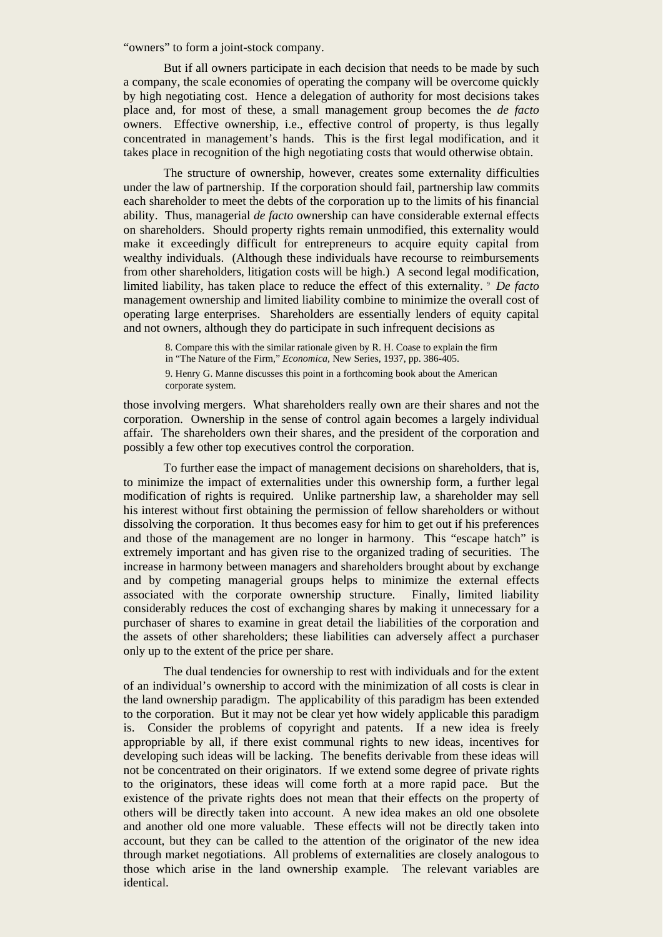"owners" to form a joint-stock company.

But if all owners participate in each decision that needs to be made by such a company, the scale economies of operating the company will be overcome quickly by high negotiating cost. Hence a delegation of authority for most decisions takes place and, for most of these, a small management group becomes the *de facto*  owners. Effective ownership, i.e., effective control of property, is thus legally concentrated in management's hands. This is the first legal modification, and it takes place in recognition of the high negotiating costs that would otherwise obtain.

The structure of ownership, however, creates some externality difficulties under the law of partnership. If the corporation should fail, partnership law commits each shareholder to meet the debts of the corporation up to the limits of his financial ability. Thus, managerial *de facto* ownership can have considerable external effects on shareholders. Should property rights remain unmodified, this externality would make it exceedingly difficult for entrepreneurs to acquire equity capital from wealthy individuals. (Although these individuals have recourse to reimbursements from other shareholders, litigation costs will be high.) A second legal modification, limited liability, has taken place to reduce the effect of this externality. 9 *De facto*  management ownership and limited liability combine to minimize the overall cost of operating large enterprises. Shareholders are essentially lenders of equity capital and not owners, although they do participate in such infrequent decisions as

> 8. Compare this with the similar rationale given by R. H. Coase to explain the firm in "The Nature of the Firm," *Economica,* New Series, 1937, pp. 386-405.

> 9. Henry G. Manne discusses this point in a forthcoming book about the American corporate system.

those involving mergers. What shareholders really own are their shares and not the corporation. Ownership in the sense of control again becomes a largely individual affair. The shareholders own their shares, and the president of the corporation and possibly a few other top executives control the corporation.

To further ease the impact of management decisions on shareholders, that is, to minimize the impact of externalities under this ownership form, a further legal modification of rights is required. Unlike partnership law, a shareholder may sell his interest without first obtaining the permission of fellow shareholders or without dissolving the corporation. It thus becomes easy for him to get out if his preferences and those of the management are no longer in harmony. This "escape hatch" is extremely important and has given rise to the organized trading of securities. The increase in harmony between managers and shareholders brought about by exchange and by competing managerial groups helps to minimize the external effects associated with the corporate ownership structure. Finally, limited liability considerably reduces the cost of exchanging shares by making it unnecessary for a purchaser of shares to examine in great detail the liabilities of the corporation and the assets of other shareholders; these liabilities can adversely affect a purchaser only up to the extent of the price per share.

The dual tendencies for ownership to rest with individuals and for the extent of an individual's ownership to accord with the minimization of all costs is clear in the land ownership paradigm. The applicability of this paradigm has been extended to the corporation. But it may not be clear yet how widely applicable this paradigm is. Consider the problems of copyright and patents. If a new idea is freely appropriable by all, if there exist communal rights to new ideas, incentives for developing such ideas will be lacking. The benefits derivable from these ideas will not be concentrated on their originators. If we extend some degree of private rights to the originators, these ideas will come forth at a more rapid pace. But the existence of the private rights does not mean that their effects on the property of others will be directly taken into account. A new idea makes an old one obsolete and another old one more valuable. These effects will not be directly taken into account, but they can be called to the attention of the originator of the new idea through market negotiations. All problems of externalities are closely analogous to those which arise in the land ownership example. The relevant variables are identical.